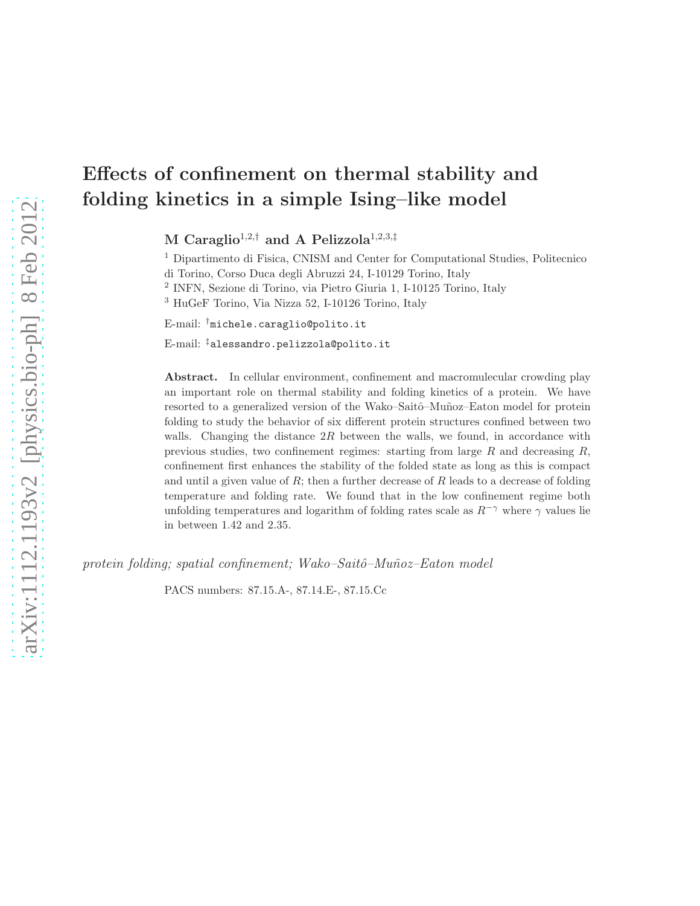# Effects of confinement on thermal stability and folding kinetics in a simple Ising–like model

M Caraglio<sup>1,2,†</sup> and A Pelizzola<sup>1,2,3,‡</sup>

 Dipartimento di Fisica, CNISM and Center for Computational Studies, Politecnico di Torino, Corso Duca degli Abruzzi 24, I-10129 Torino, Italy INFN, Sezione di Torino, via Pietro Giuria 1, I-10125 Torino, Italy HuGeF Torino, Via Nizza 52, I-10126 Torino, Italy

E-mail: †michele.caraglio@polito.it

E-mail: ‡alessandro.pelizzola@polito.it

Abstract. In cellular environment, confinement and macromulecular crowding play an important role on thermal stability and folding kinetics of a protein. We have resorted to a generalized version of the Wako–Saitô–Muñoz–Eaton model for protein folding to study the behavior of six different protein structures confined between two walls. Changing the distance  $2R$  between the walls, we found, in accordance with previous studies, two confinement regimes: starting from large  $R$  and decreasing  $R$ , confinement first enhances the stability of the folded state as long as this is compact and until a given value of  $R$ ; then a further decrease of  $R$  leads to a decrease of folding temperature and folding rate. We found that in the low confinement regime both unfolding temperatures and logarithm of folding rates scale as  $R^{-\gamma}$  where  $\gamma$  values lie in between 1.42 and 2.35.

protein folding; spatial confinement; Wako–Saitô–Muñoz–Eaton model

PACS numbers: 87.15.A-, 87.14.E-, 87.15.Cc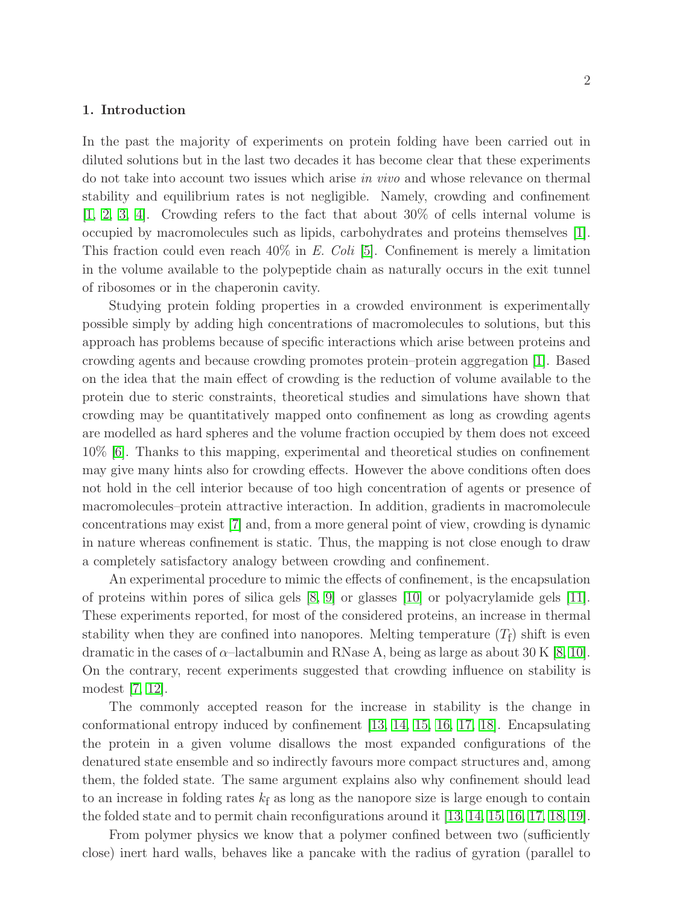# 1. Introduction

In the past the majority of experiments on protein folding have been carried out in diluted solutions but in the last two decades it has become clear that these experiments do not take into account two issues which arise in vivo and whose relevance on thermal stability and equilibrium rates is not negligible. Namely, crowding and confinement [\[1,](#page-13-0) [2,](#page-13-1) [3,](#page-13-2) [4\]](#page-13-3). Crowding refers to the fact that about 30% of cells internal volume is occupied by macromolecules such as lipids, carbohydrates and proteins themselves [\[1\]](#page-13-0). This fraction could even reach  $40\%$  in E. Coli [\[5\]](#page-13-4). Confinement is merely a limitation in the volume available to the polypeptide chain as naturally occurs in the exit tunnel of ribosomes or in the chaperonin cavity.

Studying protein folding properties in a crowded environment is experimentally possible simply by adding high concentrations of macromolecules to solutions, but this approach has problems because of specific interactions which arise between proteins and crowding agents and because crowding promotes protein–protein aggregation [\[1\]](#page-13-0). Based on the idea that the main effect of crowding is the reduction of volume available to the protein due to steric constraints, theoretical studies and simulations have shown that crowding may be quantitatively mapped onto confinement as long as crowding agents are modelled as hard spheres and the volume fraction occupied by them does not exceed 10% [\[6\]](#page-13-5). Thanks to this mapping, experimental and theoretical studies on confinement may give many hints also for crowding effects. However the above conditions often does not hold in the cell interior because of too high concentration of agents or presence of macromolecules–protein attractive interaction. In addition, gradients in macromolecule concentrations may exist [\[7\]](#page-13-6) and, from a more general point of view, crowding is dynamic in nature whereas confinement is static. Thus, the mapping is not close enough to draw a completely satisfactory analogy between crowding and confinement.

An experimental procedure to mimic the effects of confinement, is the encapsulation of proteins within pores of silica gels [\[8,](#page-13-7) [9\]](#page-13-8) or glasses [\[10\]](#page-13-9) or polyacrylamide gels [\[11\]](#page-13-10). These experiments reported, for most of the considered proteins, an increase in thermal stability when they are confined into nanopores. Melting temperature  $(T_f)$  shift is even dramatic in the cases of  $\alpha$ -lactalbumin and RNase A, being as large as about 30 K [\[8,](#page-13-7) [10\]](#page-13-9). On the contrary, recent experiments suggested that crowding influence on stability is modest [\[7,](#page-13-6) [12\]](#page-13-11).

The commonly accepted reason for the increase in stability is the change in conformational entropy induced by confinement [\[13,](#page-13-12) [14,](#page-13-13) [15,](#page-13-14) [16,](#page-13-15) [17,](#page-13-16) [18\]](#page-13-17). Encapsulating the protein in a given volume disallows the most expanded configurations of the denatured state ensemble and so indirectly favours more compact structures and, among them, the folded state. The same argument explains also why confinement should lead to an increase in folding rates  $k_f$  as long as the nanopore size is large enough to contain the folded state and to permit chain reconfigurations around it [\[13,](#page-13-12) [14,](#page-13-13) [15,](#page-13-14) [16,](#page-13-15) [17,](#page-13-16) [18,](#page-13-17) [19\]](#page-13-18).

From polymer physics we know that a polymer confined between two (sufficiently close) inert hard walls, behaves like a pancake with the radius of gyration (parallel to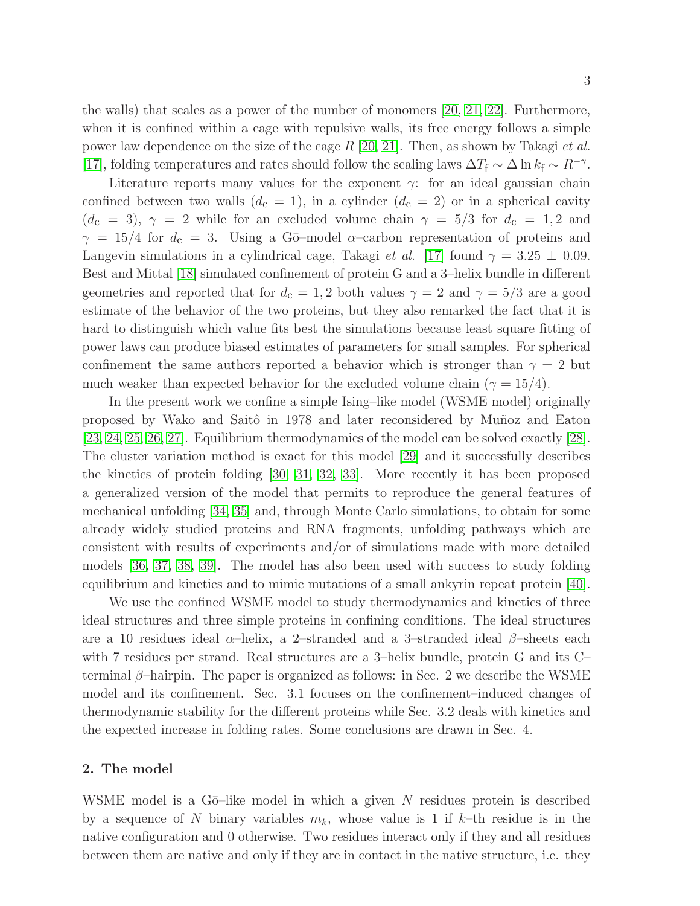the walls) that scales as a power of the number of monomers [\[20,](#page-13-19) [21,](#page-13-20) [22\]](#page-13-21). Furthermore, when it is confined within a cage with repulsive walls, its free energy follows a simple power law dependence on the size of the cage  $R$  [\[20,](#page-13-19) [21\]](#page-13-20). Then, as shown by Takagi *et al.* [\[17\]](#page-13-16), folding temperatures and rates should follow the scaling laws  $\Delta T_f \sim \Delta \ln k_f \sim R^{-\gamma}$ .

Literature reports many values for the exponent  $\gamma$ : for an ideal gaussian chain confined between two walls  $(d_c = 1)$ , in a cylinder  $(d_c = 2)$  or in a spherical cavity  $(d_c = 3)$ ,  $\gamma = 2$  while for an excluded volume chain  $\gamma = 5/3$  for  $d_c = 1, 2$  and  $\gamma = 15/4$  for  $d_c = 3$ . Using a G<sub>0</sub>-model  $\alpha$ -carbon representation of proteins and Langevin simulations in a cylindrical cage, Takagi *et al.* [\[17\]](#page-13-16) found  $\gamma = 3.25 \pm 0.09$ . Best and Mittal [\[18\]](#page-13-17) simulated confinement of protein G and a 3–helix bundle in different geometries and reported that for  $d_c = 1, 2$  both values  $\gamma = 2$  and  $\gamma = 5/3$  are a good estimate of the behavior of the two proteins, but they also remarked the fact that it is hard to distinguish which value fits best the simulations because least square fitting of power laws can produce biased estimates of parameters for small samples. For spherical confinement the same authors reported a behavior which is stronger than  $\gamma = 2$  but much weaker than expected behavior for the excluded volume chain ( $\gamma = 15/4$ ).

In the present work we confine a simple Ising–like model (WSME model) originally proposed by Wako and Saitô in 1978 and later reconsidered by Muñoz and Eaton [\[23,](#page-13-22) [24,](#page-13-23) [25,](#page-14-0) [26,](#page-14-1) [27\]](#page-14-2). Equilibrium thermodynamics of the model can be solved exactly [\[28\]](#page-14-3). The cluster variation method is exact for this model [\[29\]](#page-14-4) and it successfully describes the kinetics of protein folding [\[30,](#page-14-5) [31,](#page-14-6) [32,](#page-14-7) [33\]](#page-14-8). More recently it has been proposed a generalized version of the model that permits to reproduce the general features of mechanical unfolding [\[34,](#page-14-9) [35\]](#page-14-10) and, through Monte Carlo simulations, to obtain for some already widely studied proteins and RNA fragments, unfolding pathways which are consistent with results of experiments and/or of simulations made with more detailed models [\[36,](#page-14-11) [37,](#page-14-12) [38,](#page-14-13) [39\]](#page-14-14). The model has also been used with success to study folding equilibrium and kinetics and to mimic mutations of a small ankyrin repeat protein [\[40\]](#page-14-15).

We use the confined WSME model to study thermodynamics and kinetics of three ideal structures and three simple proteins in confining conditions. The ideal structures are a 10 residues ideal  $\alpha$ –helix, a 2–stranded and a 3–stranded ideal  $\beta$ –sheets each with 7 residues per strand. Real structures are a 3–helix bundle, protein G and its C– terminal β–hairpin. The paper is organized as follows: in Sec. 2 we describe the WSME model and its confinement. Sec. 3.1 focuses on the confinement–induced changes of thermodynamic stability for the different proteins while Sec. 3.2 deals with kinetics and the expected increase in folding rates. Some conclusions are drawn in Sec. 4.

# 2. The model

WSME model is a G $\bar{o}$ –like model in which a given N residues protein is described by a sequence of N binary variables  $m_k$ , whose value is 1 if k–th residue is in the native configuration and 0 otherwise. Two residues interact only if they and all residues between them are native and only if they are in contact in the native structure, i.e. they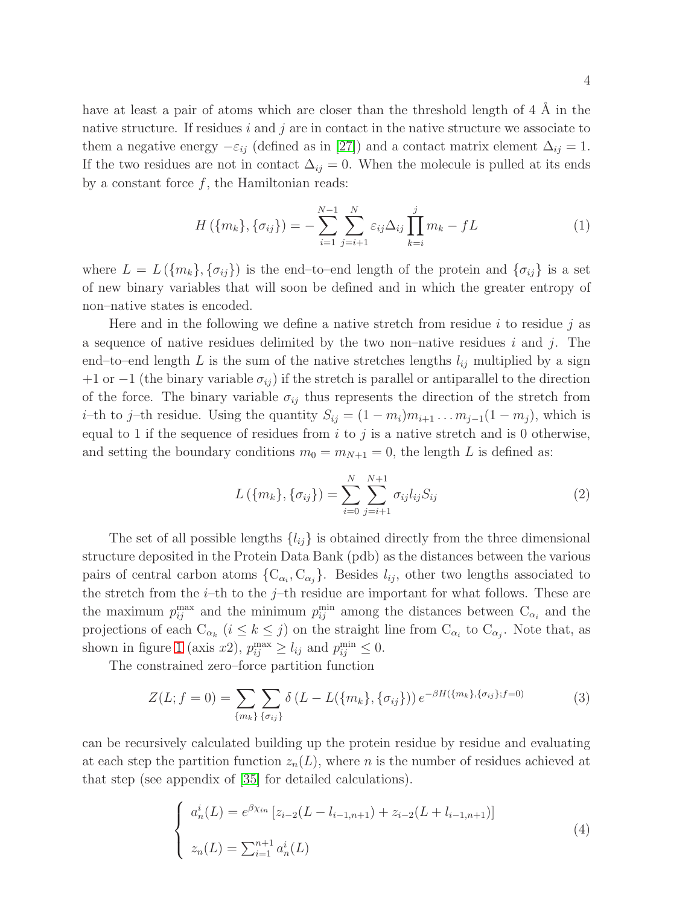have at least a pair of atoms which are closer than the threshold length of  $4 \n\AA$  in the native structure. If residues i and j are in contact in the native structure we associate to them a negative energy  $-\varepsilon_{ij}$  (defined as in [\[27\]](#page-14-2)) and a contact matrix element  $\Delta_{ij} = 1$ . If the two residues are not in contact  $\Delta_{ij} = 0$ . When the molecule is pulled at its ends by a constant force  $f$ , the Hamiltonian reads:

$$
H(\{m_k\}, \{\sigma_{ij}\}) = -\sum_{i=1}^{N-1} \sum_{j=i+1}^{N} \varepsilon_{ij} \Delta_{ij} \prod_{k=i}^{j} m_k - fL
$$
 (1)

where  $L = L(\lbrace m_k \rbrace, \lbrace \sigma_{ij} \rbrace)$  is the end–to–end length of the protein and  $\lbrace \sigma_{ij} \rbrace$  is a set of new binary variables that will soon be defined and in which the greater entropy of non–native states is encoded.

Here and in the following we define a native stretch from residue i to residue j as a sequence of native residues delimited by the two non–native residues  $i$  and  $j$ . The end–to–end length L is the sum of the native stretches lengths  $l_{ij}$  multiplied by a sign +1 or −1 (the binary variable  $\sigma_{ij}$ ) if the stretch is parallel or antiparallel to the direction of the force. The binary variable  $\sigma_{ij}$  thus represents the direction of the stretch from *i*–th to j–th residue. Using the quantity  $S_{ij} = (1 - m_i)m_{i+1} \dots m_{j-1}(1 - m_j)$ , which is equal to 1 if the sequence of residues from  $i$  to  $j$  is a native stretch and is 0 otherwise, and setting the boundary conditions  $m_0 = m_{N+1} = 0$ , the length L is defined as:

$$
L(\{m_k\}, \{\sigma_{ij}\}) = \sum_{i=0}^{N} \sum_{j=i+1}^{N+1} \sigma_{ij} l_{ij} S_{ij}
$$
 (2)

The set of all possible lengths  $\{l_{ij}\}\$ is obtained directly from the three dimensional structure deposited in the Protein Data Bank (pdb) as the distances between the various pairs of central carbon atoms  $\{C_{\alpha_i}, C_{\alpha_j}\}\$ . Besides  $l_{ij}$ , other two lengths associated to the stretch from the  $i$ –th to the  $j$ –th residue are important for what follows. These are the maximum  $p_{ij}^{\text{max}}$  and the minimum  $p_{ij}^{\text{min}}$  among the distances between  $C_{\alpha_i}$  and the projections of each  $C_{\alpha_k}$   $(i \leq k \leq j)$  on the straight line from  $C_{\alpha_i}$  to  $C_{\alpha_j}$ . Note that, as shown in figure [1](#page-4-0) (axis x2),  $p_{ij}^{\max} \ge l_{ij}$  and  $p_{ij}^{\min} \le 0$ .

The constrained zero–force partition function

$$
Z(L; f = 0) = \sum_{\{m_k\}} \sum_{\{\sigma_{ij}\}} \delta(L - L(\{m_k\}, \{\sigma_{ij}\})) e^{-\beta H(\{m_k\}, \{\sigma_{ij}\}; f = 0)}
$$
(3)

can be recursively calculated building up the protein residue by residue and evaluating at each step the partition function  $z_n(L)$ , where n is the number of residues achieved at that step (see appendix of [\[35\]](#page-14-10) for detailed calculations).

<span id="page-3-0"></span>
$$
\begin{cases}\na_n^i(L) = e^{\beta \chi_{in}} \left[ z_{i-2}(L - l_{i-1,n+1}) + z_{i-2}(L + l_{i-1,n+1}) \right] \\
z_n(L) = \sum_{i=1}^{n+1} a_n^i(L)\n\end{cases} \tag{4}
$$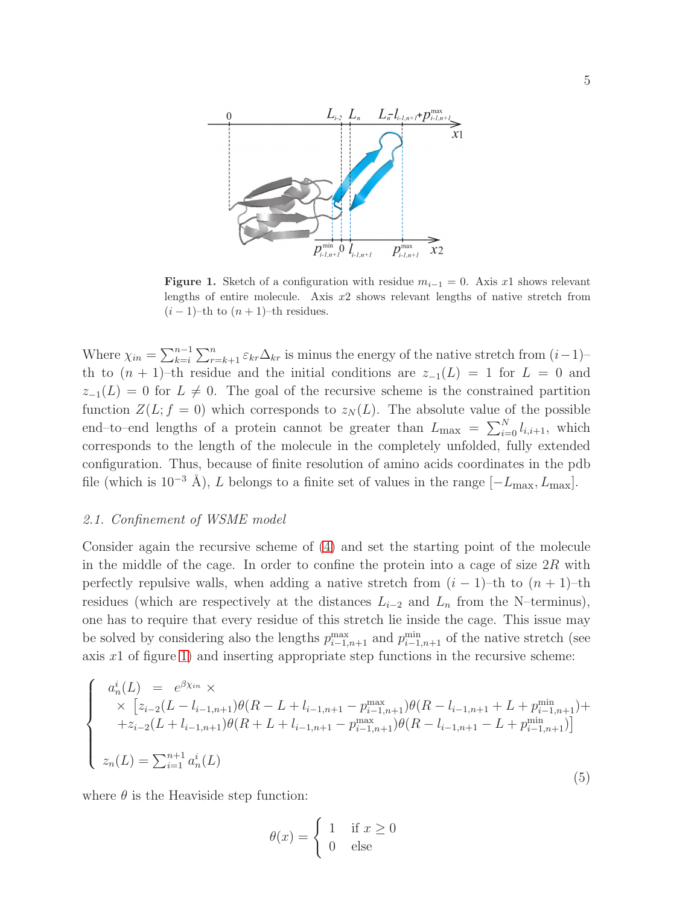

<span id="page-4-0"></span>Figure 1. Sketch of a configuration with residue  $m_{i-1} = 0$ . Axis x1 shows relevant lengths of entire molecule. Axis x2 shows relevant lengths of native stretch from  $(i-1)$ –th to  $(n + 1)$ –th residues.

Where  $\chi_{in} = \sum_{k=i}^{n-1} \sum_{r=k+1}^{n} \varepsilon_{kr} \Delta_{kr}$  is minus the energy of the native stretch from  $(i-1)$ th to  $(n + 1)$ –th residue and the initial conditions are  $z_{-1}(L) = 1$  for  $L = 0$  and  $z_{-1}(L) = 0$  for  $L \neq 0$ . The goal of the recursive scheme is the constrained partition function  $Z(L; f = 0)$  which corresponds to  $z_N(L)$ . The absolute value of the possible end–to–end lengths of a protein cannot be greater than  $L_{\text{max}} = \sum_{i=0}^{N} l_{i,i+1}$ , which corresponds to the length of the molecule in the completely unfolded, fully extended configuration. Thus, because of finite resolution of amino acids coordinates in the pdb file (which is  $10^{-3}$  Å), L belongs to a finite set of values in the range  $[-L_{\text{max}}, L_{\text{max}}]$ .

#### 2.1. Confinement of WSME model

Consider again the recursive scheme of [\(4\)](#page-3-0) and set the starting point of the molecule in the middle of the cage. In order to confine the protein into a cage of size  $2R$  with perfectly repulsive walls, when adding a native stretch from  $(i - 1)$ –th to  $(n + 1)$ –th residues (which are respectively at the distances  $L_{i-2}$  and  $L_n$  from the N–terminus), one has to require that every residue of this stretch lie inside the cage. This issue may be solved by considering also the lengths  $p_{i-1,n+1}^{\text{max}}$  and  $p_{i-1,n+1}^{\text{min}}$  of the native stretch (see axis  $x1$  of figure [1\)](#page-4-0) and inserting appropriate step functions in the recursive scheme:

$$
\begin{cases}\na_n^i(L) = e^{\beta \chi_{in}} \times \\
\times \left[ z_{i-2}(L - l_{i-1,n+1})\theta(R - L + l_{i-1,n+1} - p_{i-1,n+1}^{\max})\theta(R - l_{i-1,n+1} + L + p_{i-1,n+1}^{\min}) + \right. \\
\left. + z_{i-2}(L + l_{i-1,n+1})\theta(R + L + l_{i-1,n+1} - p_{i-1,n+1}^{\max})\theta(R - l_{i-1,n+1} - L + p_{i-1,n+1}^{\min})\right] \\
z_n(L) = \sum_{i=1}^{n+1} a_n^i(L)\n\end{cases} \tag{5}
$$

where  $\theta$  is the Heaviside step function:

$$
\theta(x) = \begin{cases} 1 & \text{if } x \ge 0 \\ 0 & \text{else} \end{cases}
$$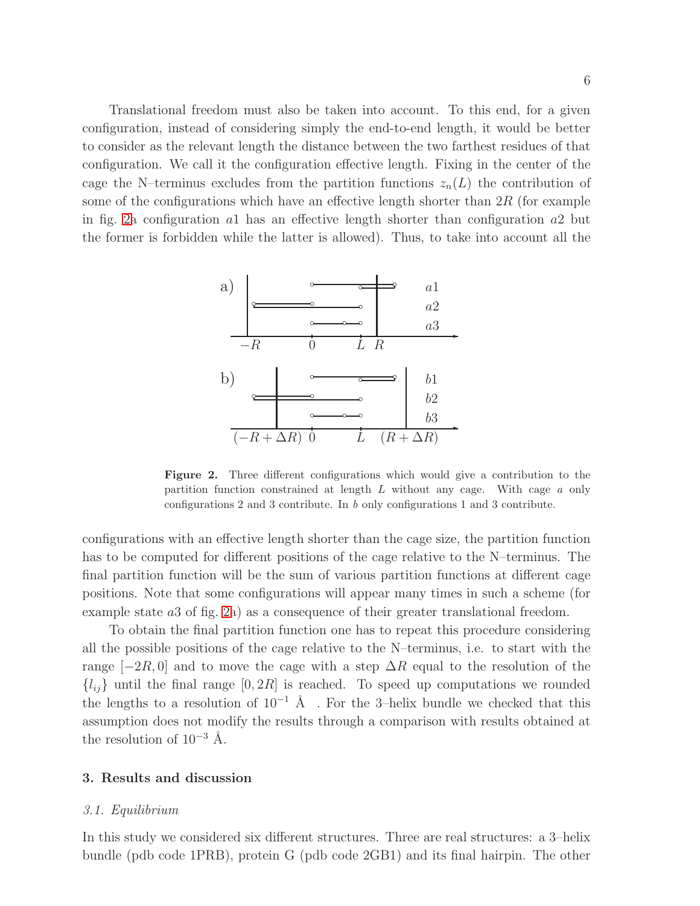Translational freedom must also be taken into account. To this end, for a given configuration, instead of considering simply the end-to-end length, it would be better to consider as the relevant length the distance between the two farthest residues of that configuration. We call it the configuration effective length. Fixing in the center of the cage the N–terminus excludes from the partition functions  $z_n(L)$  the contribution of some of the configurations which have an effective length shorter than  $2R$  (for example in fig. [2a](#page-5-0) configuration a1 has an effective length shorter than configuration a2 but the former is forbidden while the latter is allowed). Thus, to take into account all the



<span id="page-5-0"></span>Figure 2. Three different configurations which would give a contribution to the partition function constrained at length L without any cage. With cage *a* only configurations 2 and 3 contribute. In *b* only configurations 1 and 3 contribute.

configurations with an effective length shorter than the cage size, the partition function has to be computed for different positions of the cage relative to the N–terminus. The final partition function will be the sum of various partition functions at different cage positions. Note that some configurations will appear many times in such a scheme (for example state a3 of fig. [2a](#page-5-0)) as a consequence of their greater translational freedom.

To obtain the final partition function one has to repeat this procedure considering all the possible positions of the cage relative to the N–terminus, i.e. to start with the range  $[-2R, 0]$  and to move the cage with a step  $\Delta R$  equal to the resolution of the  ${l_{ij}}$  until the final range  $[0, 2R]$  is reached. To speed up computations we rounded the lengths to a resolution of  $10^{-1}$  Å . For the 3–helix bundle we checked that this assumption does not modify the results through a comparison with results obtained at the resolution of  $10^{-3}$  Å.

## 3. Results and discussion

#### 3.1. Equilibrium

In this study we considered six different structures. Three are real structures: a 3–helix bundle (pdb code 1PRB), protein G (pdb code 2GB1) and its final hairpin. The other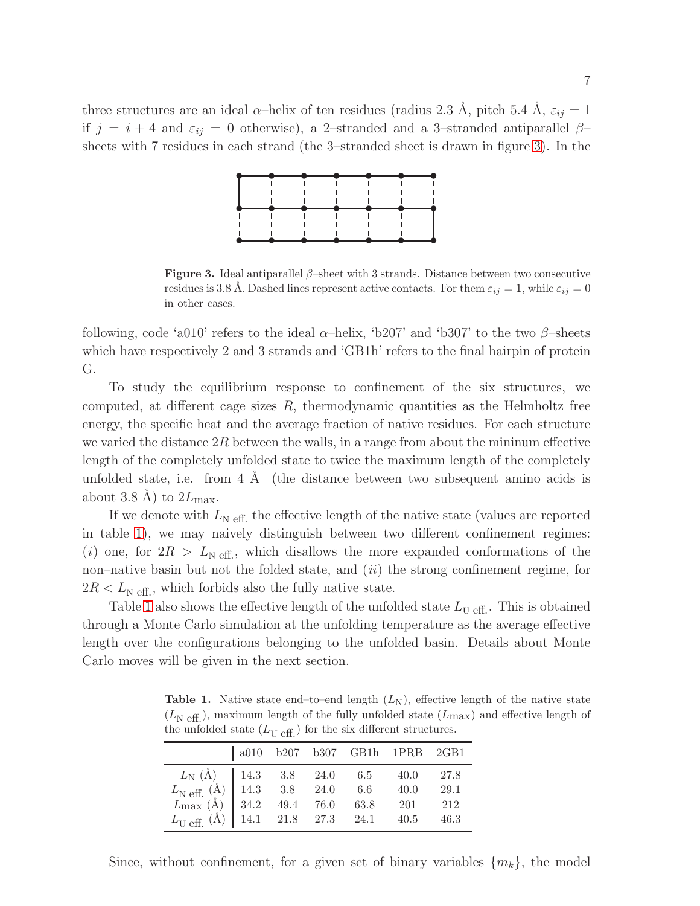three structures are an ideal  $\alpha$ -helix of ten residues (radius 2.3 Å, pitch 5.4 Å,  $\varepsilon_{ij} = 1$ if  $j = i + 4$  and  $\varepsilon_{ij} = 0$  otherwise), a 2-stranded and a 3-stranded antiparallel  $\beta$ sheets with 7 residues in each strand (the 3–stranded sheet is drawn in figure [3\)](#page-6-0). In the



<span id="page-6-0"></span>**Figure 3.** Ideal antiparallel  $\beta$ –sheet with 3 strands. Distance between two consecutive residues is 3.8 Å. Dashed lines represent active contacts. For them  $\varepsilon_{ij} = 1$ , while  $\varepsilon_{ij} = 0$ in other cases.

following, code 'a010' refers to the ideal  $\alpha$ -helix, 'b207' and 'b307' to the two  $\beta$ -sheets which have respectively 2 and 3 strands and 'GB1h' refers to the final hairpin of protein G.

To study the equilibrium response to confinement of the six structures, we computed, at different cage sizes  $R$ , thermodynamic quantities as the Helmholtz free energy, the specific heat and the average fraction of native residues. For each structure we varied the distance  $2R$  between the walls, in a range from about the mininum effective length of the completely unfolded state to twice the maximum length of the completely unfolded state, i.e. from  $4 \text{ Å}$  (the distance between two subsequent amino acids is about 3.8 Å) to  $2L_{\text{max}}$ .

If we denote with  $L_{\text{N eff}}$ , the effective length of the native state (values are reported in table [1\)](#page-6-1), we may naively distinguish between two different confinement regimes: (i) one, for  $2R > L_{\text{N eff.}}$ , which disallows the more expanded conformations of the non–native basin but not the folded state, and  $(ii)$  the strong confinement regime, for  $2R < L_{\text{N eff.}}$ , which forbids also the fully native state.

Table [1](#page-6-1) also shows the effective length of the unfolded state  $L_{\text{U eff.}}$ . This is obtained through a Monte Carlo simulation at the unfolding temperature as the average effective length over the configurations belonging to the unfolded basin. Details about Monte Carlo moves will be given in the next section.

<span id="page-6-1"></span>**Table 1.** Native state end–to–end length  $(L_N)$ , effective length of the native state  $(L_{\text{N eff.}})$ , maximum length of the fully unfolded state  $(L_{\text{max}})$  and effective length of the unfolded state  $(L_{\text{U eff.}})$  for the six different structures.

|                                                                                                                                                                                                                                                                                                   |  |  | a010 b207 b307 GB1h 1PRB 2GB1 |     |
|---------------------------------------------------------------------------------------------------------------------------------------------------------------------------------------------------------------------------------------------------------------------------------------------------|--|--|-------------------------------|-----|
| $\begin{tabular}{c cccc} $L_{\rm N}$ (Å) & 14.3 & 3.8 & 24.0 & 6.5 & 40.0 & 27.8 \\ $L_{\rm N}$ eff. (Å) & 14.3 & 3.8 & 24.0 & 6.6 & 40.0 & 29.1 \\ $L_{\rm max}$ (Å) & 34.2 & 49.4 & 76.0 & 63.8 & 201 & 212 \\ $L_{\rm U}$ eff. (Å) & 14.1 & 21.8 & 27.3 & 24.1 & 40.5 & 46.3 \\ \end{tabular}$ |  |  |                               |     |
|                                                                                                                                                                                                                                                                                                   |  |  |                               |     |
|                                                                                                                                                                                                                                                                                                   |  |  |                               | 212 |
|                                                                                                                                                                                                                                                                                                   |  |  |                               |     |

Since, without confinement, for a given set of binary variables  $\{m_k\}$ , the model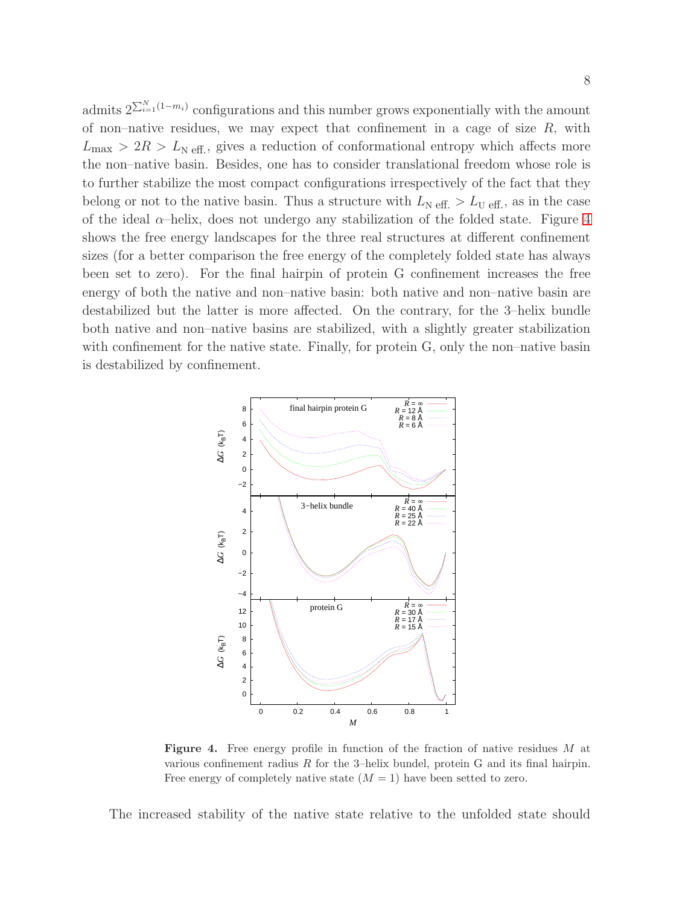admits  $2^{\sum_{i=1}^{N} (1-m_i)}$  configurations and this number grows exponentially with the amount of non–native residues, we may expect that confinement in a cage of size  $R$ , with  $L_{\text{max}} > 2R > L_{\text{N eff.}}$ , gives a reduction of conformational entropy which affects more the non–native basin. Besides, one has to consider translational freedom whose role is to further stabilize the most compact configurations irrespectively of the fact that they belong or not to the native basin. Thus a structure with  $L_{\text{N eff.}} > L_{\text{U eff.}}$ , as in the case of the ideal  $\alpha$ –helix, does not undergo any stabilization of the folded state. Figure [4](#page-7-0) shows the free energy landscapes for the three real structures at different confinement sizes (for a better comparison the free energy of the completely folded state has always been set to zero). For the final hairpin of protein G confinement increases the free energy of both the native and non–native basin: both native and non–native basin are destabilized but the latter is more affected. On the contrary, for the 3–helix bundle both native and non–native basins are stabilized, with a slightly greater stabilization with confinement for the native state. Finally, for protein G, only the non–native basin is destabilized by confinement.



<span id="page-7-0"></span>Figure 4. Free energy profile in function of the fraction of native residues M at various confinement radius  $R$  for the 3-helix bundel, protein  $G$  and its final hairpin. Free energy of completely native state  $(M = 1)$  have been setted to zero.

The increased stability of the native state relative to the unfolded state should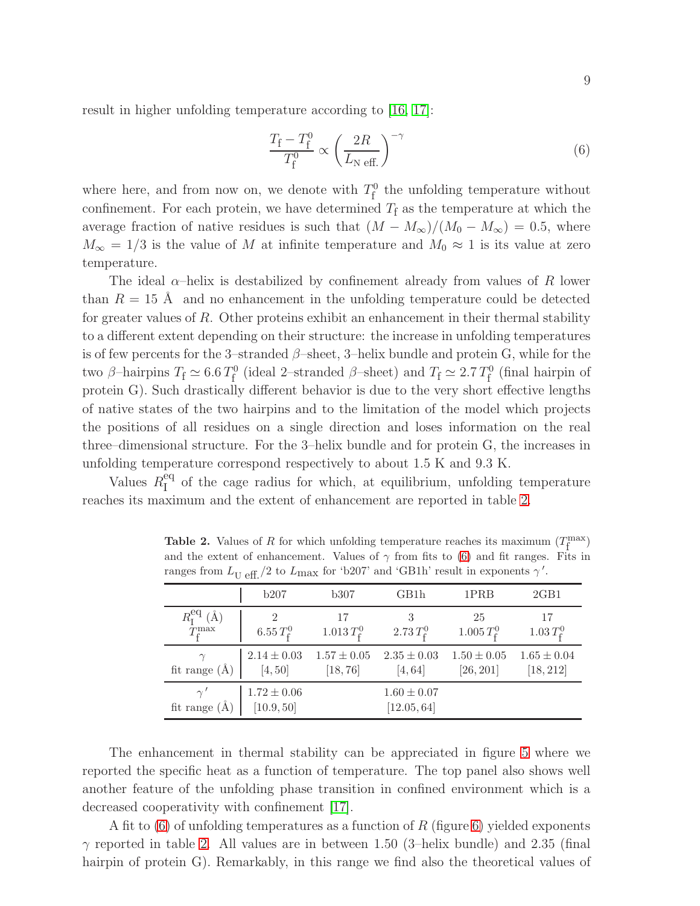result in higher unfolding temperature according to [\[16,](#page-13-15) [17\]](#page-13-16):

<span id="page-8-1"></span>
$$
\frac{T_{\rm f} - T_{\rm f}^0}{T_{\rm f}^0} \propto \left(\frac{2R}{L_{\rm N \text{ eff.}}}\right)^{-\gamma} \tag{6}
$$

where here, and from now on, we denote with  $T_f^0$  the unfolding temperature without confinement. For each protein, we have determined  $T_f$  as the temperature at which the average fraction of native residues is such that  $(M - M_{\infty})/(M_0 - M_{\infty}) = 0.5$ , where  $M_{\infty} = 1/3$  is the value of M at infinite temperature and  $M_0 \approx 1$  is its value at zero temperature.

The ideal  $\alpha$ –helix is destabilized by confinement already from values of R lower than  $R = 15$  Å and no enhancement in the unfolding temperature could be detected for greater values of R. Other proteins exhibit an enhancement in their thermal stability to a different extent depending on their structure: the increase in unfolding temperatures is of few percents for the 3–stranded  $\beta$ –sheet, 3–helix bundle and protein G, while for the two  $\beta$ -hairpins  $T_f \simeq 6.6 T_f^0$  (ideal 2-stranded  $\beta$ -sheet) and  $T_f \simeq 2.7 T_f^0$  (final hairpin of protein G). Such drastically different behavior is due to the very short effective lengths of native states of the two hairpins and to the limitation of the model which projects the positions of all residues on a single direction and loses information on the real three–dimensional structure. For the 3–helix bundle and for protein G, the increases in unfolding temperature correspond respectively to about 1.5 K and 9.3 K.

Values  $R_{I}^{eq}$  $I_I^{\text{eq}}$  of the cage radius for which, at equilibrium, unfolding temperature reaches its maximum and the extent of enhancement are reported in table [2.](#page-8-0)

|                                                   | $\cup$ $\cup$ $\bot$ $\cdot$  |                             |                                |                              |                              |
|---------------------------------------------------|-------------------------------|-----------------------------|--------------------------------|------------------------------|------------------------------|
|                                                   | b207                          | b307                        | GB1h                           | 1PRB                         | 2GB1                         |
| $R_{\rm I}^{\rm eq}$ (Å)<br>$T_{\rm f}^{\rm max}$ | $6.55 T_{\rm f}^0$            | 17<br>$1.013 T_f^0$         | $2.73 T_{\rm f}^0$             | 25<br>$1.005 T_{\rm f}^0$    | 17<br>$1.03 T_{f}^{0}$       |
| fit range $(\AA)$                                 | $2.14 \pm 0.03$<br>[4, 50]    | $1.57 \pm 0.05$<br>[18, 76] | $2.35 \pm 0.03$<br>[4, 64]     | $1.50 \pm 0.05$<br>[26, 201] | $1.65 \pm 0.04$<br>[18, 212] |
| $\gamma'$<br>fit range $(\AA)$                    | $1.72 \pm 0.06$<br>[10.9, 50] |                             | $1.60 \pm 0.07$<br>[12.05, 64] |                              |                              |

<span id="page-8-0"></span>**Table 2.** Values of R for which unfolding temperature reaches its maximum  $(T_f^{\text{max}})$ and the extent of enhancement. Values of  $\gamma$  from fits to [\(6\)](#page-8-1) and fit ranges. Fits in ranges from  $L_{\rm U~eff.}/2$  to  $L_{\rm max}$  for 'b207' and 'GB1h' result in exponents  $\gamma'$ .

The enhancement in thermal stability can be appreciated in figure [5](#page-9-0) where we reported the specific heat as a function of temperature. The top panel also shows well another feature of the unfolding phase transition in confined environment which is a decreased cooperativity with confinement [\[17\]](#page-13-16).

A fit to  $(6)$  of unfolding temperatures as a function of R (figure [6\)](#page-9-1) yielded exponents  $\gamma$  reported in table [2.](#page-8-0) All values are in between 1.50 (3-helix bundle) and 2.35 (final hairpin of protein G). Remarkably, in this range we find also the theoretical values of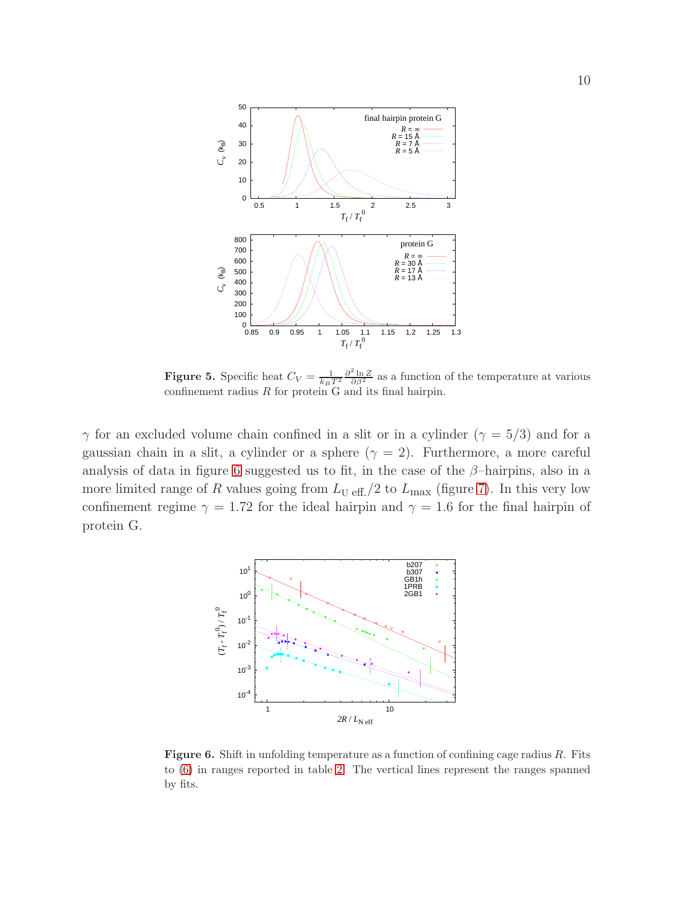

<span id="page-9-0"></span>**Figure 5.** Specific heat  $C_V = \frac{1}{k_B T^2} \frac{\partial^2 \ln Z}{\partial \beta^2}$  as a function of the temperature at various confinement radius  $R$  for protein  $G$  and its final hairpin.

 $\gamma$  for an excluded volume chain confined in a slit or in a cylinder  $(\gamma = 5/3)$  and for a gaussian chain in a slit, a cylinder or a sphere  $(\gamma = 2)$ . Furthermore, a more careful analysis of data in figure [6](#page-9-1) suggested us to fit, in the case of the  $\beta$ -hairpins, also in a more limited range of R values going from  $L_{\text{U eff.}}/2$  to  $L_{\text{max}}$  (figure [7\)](#page-10-0). In this very low confinement regime  $\gamma = 1.72$  for the ideal hairpin and  $\gamma = 1.6$  for the final hairpin of protein G.



<span id="page-9-1"></span>Figure 6. Shift in unfolding temperature as a function of confining cage radius R. Fits to [\(6\)](#page-8-1) in ranges reported in table [2.](#page-8-0) The vertical lines represent the ranges spanned by fits.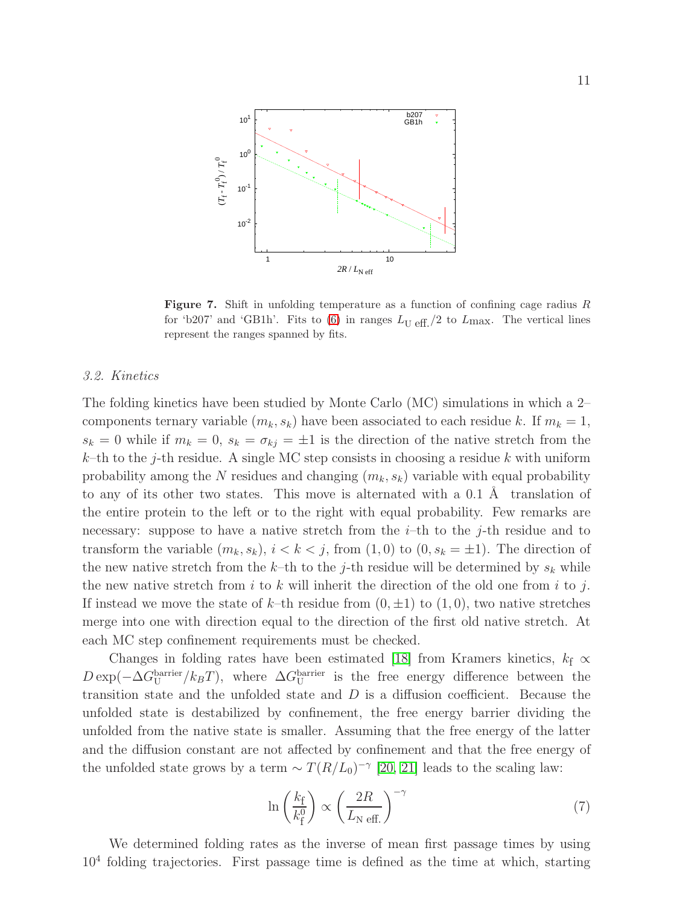

<span id="page-10-0"></span>Figure 7. Shift in unfolding temperature as a function of confining cage radius R for 'b207' and 'GB1h'. Fits to [\(6\)](#page-8-1) in ranges  $L_{\text{U eff.}}/2$  to  $L_{\text{max}}$ . The vertical lines represent the ranges spanned by fits.

# 3.2. Kinetics

The folding kinetics have been studied by Monte Carlo (MC) simulations in which a 2– components ternary variable  $(m_k, s_k)$  have been associated to each residue k. If  $m_k = 1$ ,  $s_k = 0$  while if  $m_k = 0$ ,  $s_k = \sigma_{kj} = \pm 1$  is the direction of the native stretch from the k–th to the j-th residue. A single MC step consists in choosing a residue k with uniform probability among the N residues and changing  $(m_k, s_k)$  variable with equal probability to any of its other two states. This move is alternated with a  $0.1 \text{ Å}$  translation of the entire protein to the left or to the right with equal probability. Few remarks are necessary: suppose to have a native stretch from the  $i$ -th to the  $j$ -th residue and to transform the variable  $(m_k, s_k)$ ,  $i < k < j$ , from  $(1, 0)$  to  $(0, s_k = \pm 1)$ . The direction of the new native stretch from the k–th to the j-th residue will be determined by  $s_k$  while the new native stretch from  $i$  to  $k$  will inherit the direction of the old one from  $i$  to  $j$ . If instead we move the state of k–th residue from  $(0, \pm 1)$  to  $(1, 0)$ , two native stretches merge into one with direction equal to the direction of the first old native stretch. At each MC step confinement requirements must be checked.

Changes in folding rates have been estimated [\[18\]](#page-13-17) from Kramers kinetics,  $k_f \propto$  $D \exp(-\Delta G_U^{\text{barrier}}/k_B T)$ , where  $\Delta G_U^{\text{barrier}}$  is the free energy difference between the transition state and the unfolded state and  $D$  is a diffusion coefficient. Because the unfolded state is destabilized by confinement, the free energy barrier dividing the unfolded from the native state is smaller. Assuming that the free energy of the latter and the diffusion constant are not affected by confinement and that the free energy of the unfolded state grows by a term  $\sim T(R/L_0)^{-\gamma}$  [\[20,](#page-13-19) [21\]](#page-13-20) leads to the scaling law:

<span id="page-10-1"></span>
$$
\ln\left(\frac{k_{\rm f}}{k_{\rm f}^0}\right) \propto \left(\frac{2R}{L_{\rm N\;eff.}}\right)^{-\gamma} \tag{7}
$$

We determined folding rates as the inverse of mean first passage times by using 10<sup>4</sup> folding trajectories. First passage time is defined as the time at which, starting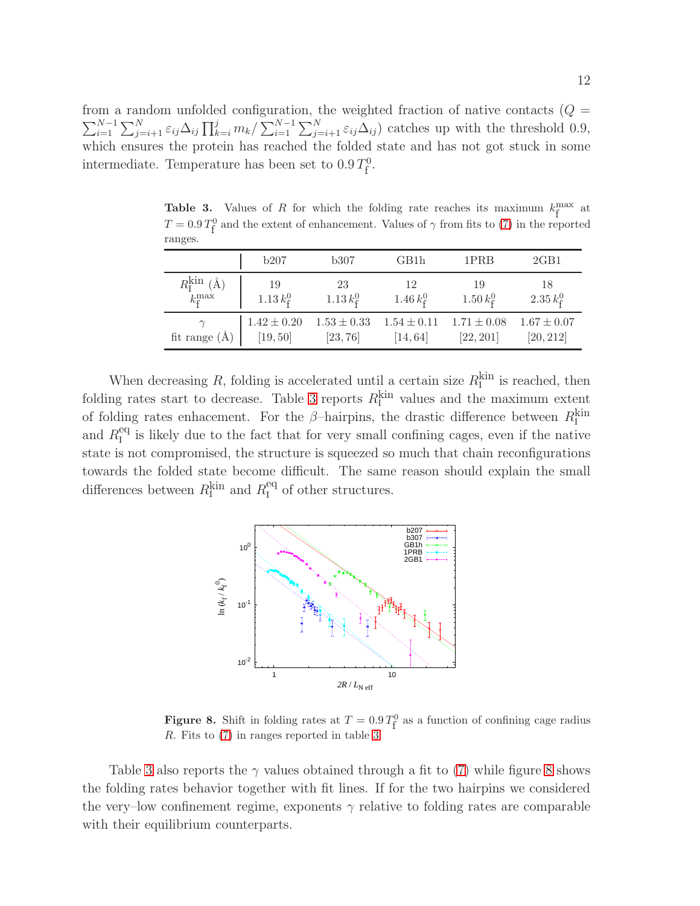from a random unfolded configuration, the weighted fraction of native contacts  $(Q =$  $\sum_{i=1}^{N-1} \sum_{j=i+1}^{N} \varepsilon_{ij} \Delta_{ij} \prod_{k=i}^{j} m_k / \sum_{i=1}^{N-1} \sum_{j=i+1}^{N} \varepsilon_{ij} \Delta_{ij}$  catches up with the threshold 0.9, which ensures the protein has reached the folded state and has not got stuck in some intermediate. Temperature has been set to  $0.9 T_{\text{f}}^{\text{0}}$ .

<span id="page-11-0"></span>**Table 3.** Values of R for which the folding rate reaches its maximum  $k_f^{\text{max}}$  at  $T = 0.9 T_{\text{f}}^0$  and the extent of enhancement. Values of  $\gamma$  from fits to [\(7\)](#page-10-1) in the reported ranges.

|                           | b207               | b307            | GB1h            | 1PRB                | 2GB1               |
|---------------------------|--------------------|-----------------|-----------------|---------------------|--------------------|
| $R_{\rm I}^{\rm kin}$ (Å) | -19                | -23             | 12              | -19                 | 18                 |
| $k_{\rm r}^{\rm max}$     | $1.13 k_{\rm f}^0$ | $1.13 k_f^0$    | 1.46 $k_f^0$    | $1.50\,k_{\rm f}^0$ | $2.35 k_{\rm f}^0$ |
| fit range $(\AA)$         | $1.42 \pm 0.20$    | $1.53 \pm 0.33$ | $1.54 \pm 0.11$ | $1.71 \pm 0.08$     | $1.67 \pm 0.07$    |
|                           | [19, 50]           | [23, 76]        | [14, 64]        | [22, 201]           | [20, 212]          |

When decreasing  $R$ , folding is accelerated until a certain size  $R_{\text{I}}^{\text{kin}}$  is reached, then folding rates start to decrease. Table [3](#page-11-0) reports  $R_{\text{I}}^{\text{kin}}$  values and the maximum extent of folding rates enhacement. For the  $\beta$ -hairpins, the drastic difference between  $R_{\text{I}}^{\text{kin}}$ and  $R_{I}^{\text{eq}}$  $I_I^{\text{eq}}$  is likely due to the fact that for very small confining cages, even if the native state is not compromised, the structure is squeezed so much that chain reconfigurations towards the folded state become difficult. The same reason should explain the small differences between  $R_{\rm I}^{\rm kin}$  and  $R_{\rm I}^{\rm eq}$  $I_I^{\text{eq}}$  of other structures.



<span id="page-11-1"></span>**Figure 8.** Shift in folding rates at  $T = 0.9 T_f^0$  as a function of confining cage radius R. Fits to [\(7\)](#page-10-1) in ranges reported in table [3.](#page-11-0)

Table [3](#page-11-0) also reports the  $\gamma$  values obtained through a fit to [\(7\)](#page-10-1) while figure [8](#page-11-1) shows the folding rates behavior together with fit lines. If for the two hairpins we considered the very–low confinement regime, exponents  $\gamma$  relative to folding rates are comparable with their equilibrium counterparts.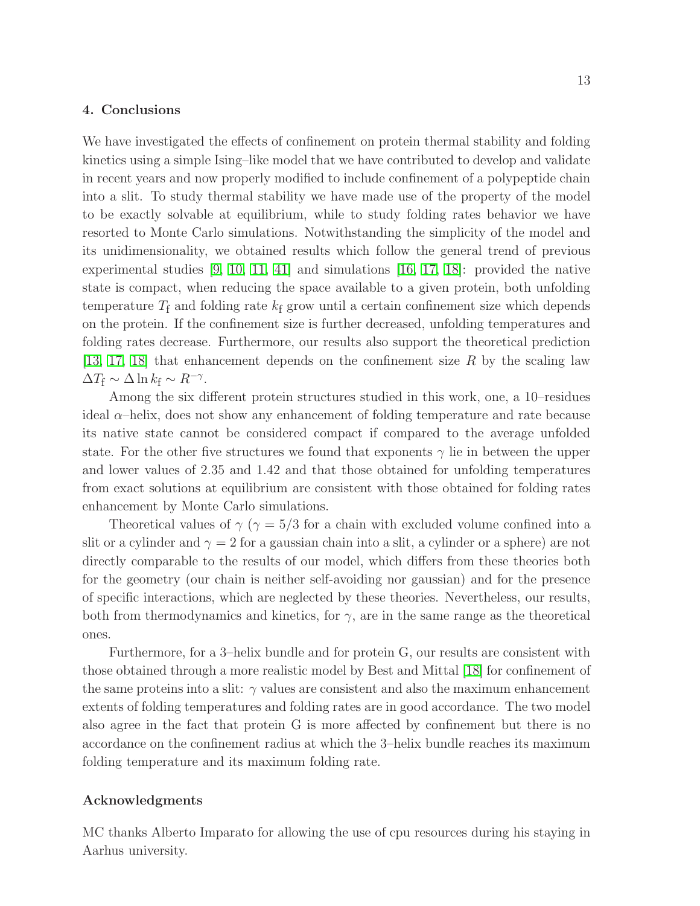# 4. Conclusions

We have investigated the effects of confinement on protein thermal stability and folding kinetics using a simple Ising–like model that we have contributed to develop and validate in recent years and now properly modified to include confinement of a polypeptide chain into a slit. To study thermal stability we have made use of the property of the model to be exactly solvable at equilibrium, while to study folding rates behavior we have resorted to Monte Carlo simulations. Notwithstanding the simplicity of the model and its unidimensionality, we obtained results which follow the general trend of previous experimental studies [\[9,](#page-13-8) [10,](#page-13-9) [11,](#page-13-10) [41\]](#page-14-16) and simulations [\[16,](#page-13-15) [17,](#page-13-16) [18\]](#page-13-17): provided the native state is compact, when reducing the space available to a given protein, both unfolding temperature  $T_f$  and folding rate  $k_f$  grow until a certain confinement size which depends on the protein. If the confinement size is further decreased, unfolding temperatures and folding rates decrease. Furthermore, our results also support the theoretical prediction [\[13,](#page-13-12) [17,](#page-13-16) [18\]](#page-13-17) that enhancement depends on the confinement size R by the scaling law  $\Delta T_{\rm f} \sim \Delta \ln k_{\rm f} \sim R^{-\gamma}$ .

Among the six different protein structures studied in this work, one, a 10–residues ideal  $\alpha$ –helix, does not show any enhancement of folding temperature and rate because its native state cannot be considered compact if compared to the average unfolded state. For the other five structures we found that exponents  $\gamma$  lie in between the upper and lower values of 2.35 and 1.42 and that those obtained for unfolding temperatures from exact solutions at equilibrium are consistent with those obtained for folding rates enhancement by Monte Carlo simulations.

Theoretical values of  $\gamma$  ( $\gamma = 5/3$  for a chain with excluded volume confined into a slit or a cylinder and  $\gamma = 2$  for a gaussian chain into a slit, a cylinder or a sphere) are not directly comparable to the results of our model, which differs from these theories both for the geometry (our chain is neither self-avoiding nor gaussian) and for the presence of specific interactions, which are neglected by these theories. Nevertheless, our results, both from thermodynamics and kinetics, for  $\gamma$ , are in the same range as the theoretical ones.

Furthermore, for a 3–helix bundle and for protein G, our results are consistent with those obtained through a more realistic model by Best and Mittal [\[18\]](#page-13-17) for confinement of the same proteins into a slit:  $\gamma$  values are consistent and also the maximum enhancement extents of folding temperatures and folding rates are in good accordance. The two model also agree in the fact that protein G is more affected by confinement but there is no accordance on the confinement radius at which the 3–helix bundle reaches its maximum folding temperature and its maximum folding rate.

# Acknowledgments

MC thanks Alberto Imparato for allowing the use of cpu resources during his staying in Aarhus university.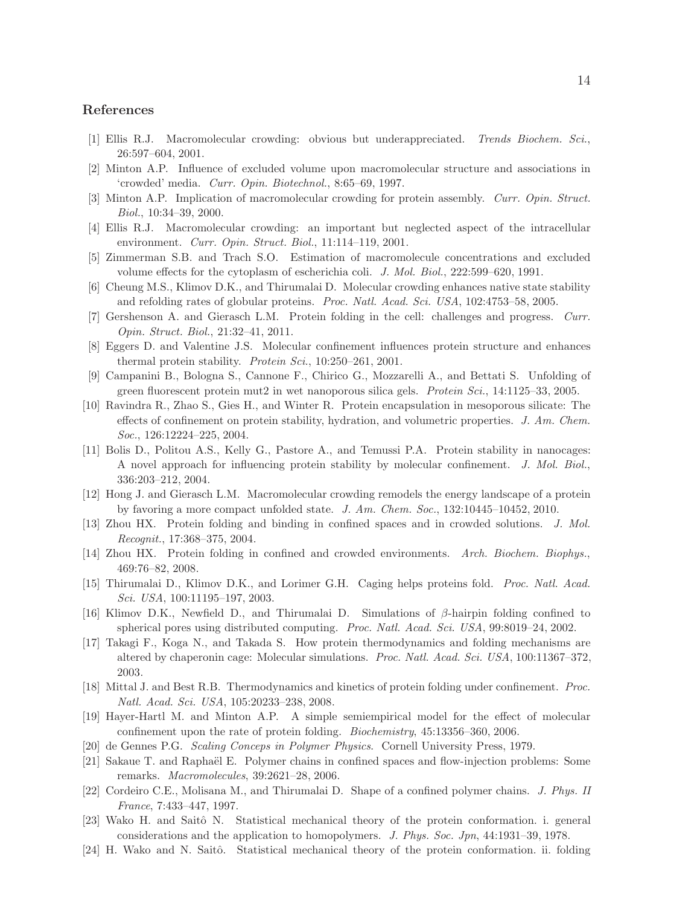# <span id="page-13-0"></span>References

- <span id="page-13-1"></span>[1] Ellis R.J. Macromolecular crowding: obvious but underappreciated. *Trends Biochem. Sci.*, 26:597–604, 2001.
- <span id="page-13-2"></span>[2] Minton A.P. Influence of excluded volume upon macromolecular structure and associations in 'crowded' media. *Curr. Opin. Biotechnol.*, 8:65–69, 1997.
- <span id="page-13-3"></span>[3] Minton A.P. Implication of macromolecular crowding for protein assembly. *Curr. Opin. Struct. Biol.*, 10:34–39, 2000.
- <span id="page-13-4"></span>[4] Ellis R.J. Macromolecular crowding: an important but neglected aspect of the intracellular environment. *Curr. Opin. Struct. Biol.*, 11:114–119, 2001.
- <span id="page-13-5"></span>[5] Zimmerman S.B. and Trach S.O. Estimation of macromolecule concentrations and excluded volume effects for the cytoplasm of escherichia coli. *J. Mol. Biol.*, 222:599–620, 1991.
- <span id="page-13-6"></span>[6] Cheung M.S., Klimov D.K., and Thirumalai D. Molecular crowding enhances native state stability and refolding rates of globular proteins. *Proc. Natl. Acad. Sci. USA*, 102:4753–58, 2005.
- <span id="page-13-7"></span>[7] Gershenson A. and Gierasch L.M. Protein folding in the cell: challenges and progress. *Curr. Opin. Struct. Biol.*, 21:32–41, 2011.
- <span id="page-13-8"></span>[8] Eggers D. and Valentine J.S. Molecular confinement influences protein structure and enhances thermal protein stability. *Protein Sci.*, 10:250–261, 2001.
- <span id="page-13-9"></span>[9] Campanini B., Bologna S., Cannone F., Chirico G., Mozzarelli A., and Bettati S. Unfolding of green fluorescent protein mut2 in wet nanoporous silica gels. *Protein Sci.*, 14:1125–33, 2005.
- [10] Ravindra R., Zhao S., Gies H., and Winter R. Protein encapsulation in mesoporous silicate: The effects of confinement on protein stability, hydration, and volumetric properties. *J. Am. Chem. Soc.*, 126:12224–225, 2004.
- <span id="page-13-10"></span>[11] Bolis D., Politou A.S., Kelly G., Pastore A., and Temussi P.A. Protein stability in nanocages: A novel approach for influencing protein stability by molecular confinement. *J. Mol. Biol.*, 336:203–212, 2004.
- <span id="page-13-12"></span><span id="page-13-11"></span>[12] Hong J. and Gierasch L.M. Macromolecular crowding remodels the energy landscape of a protein by favoring a more compact unfolded state. *J. Am. Chem. Soc.*, 132:10445–10452, 2010.
- <span id="page-13-13"></span>[13] Zhou HX. Protein folding and binding in confined spaces and in crowded solutions. *J. Mol. Recognit.*, 17:368–375, 2004.
- <span id="page-13-14"></span>[14] Zhou HX. Protein folding in confined and crowded environments. *Arch. Biochem. Biophys.*, 469:76–82, 2008.
- [15] Thirumalai D., Klimov D.K., and Lorimer G.H. Caging helps proteins fold. *Proc. Natl. Acad. Sci. USA*, 100:11195–197, 2003.
- <span id="page-13-15"></span>[16] Klimov D.K., Newfield D., and Thirumalai D. Simulations of  $\beta$ -hairpin folding confined to spherical pores using distributed computing. *Proc. Natl. Acad. Sci. USA*, 99:8019–24, 2002.
- <span id="page-13-16"></span>[17] Takagi F., Koga N., and Takada S. How protein thermodynamics and folding mechanisms are altered by chaperonin cage: Molecular simulations. *Proc. Natl. Acad. Sci. USA*, 100:11367–372, 2003.
- <span id="page-13-17"></span>[18] Mittal J. and Best R.B. Thermodynamics and kinetics of protein folding under confinement. *Proc. Natl. Acad. Sci. USA*, 105:20233–238, 2008.
- <span id="page-13-18"></span>[19] Hayer-Hartl M. and Minton A.P. A simple semiempirical model for the effect of molecular confinement upon the rate of protein folding. *Biochemistry*, 45:13356–360, 2006.
- <span id="page-13-20"></span><span id="page-13-19"></span>[20] de Gennes P.G. *Scaling Conceps in Polymer Physics*. Cornell University Press, 1979.
- [21] Sakaue T. and Raphaël E. Polymer chains in confined spaces and flow-injection problems: Some remarks. *Macromolecules*, 39:2621–28, 2006.
- <span id="page-13-21"></span>[22] Cordeiro C.E., Molisana M., and Thirumalai D. Shape of a confined polymer chains. *J. Phys. II France*, 7:433–447, 1997.
- <span id="page-13-22"></span>[23] Wako H. and Saitô N. Statistical mechanical theory of the protein conformation. i. general considerations and the application to homopolymers. *J. Phys. Soc. Jpn*, 44:1931–39, 1978.
- <span id="page-13-23"></span>[24] H. Wako and N. Saitô. Statistical mechanical theory of the protein conformation. ii. folding